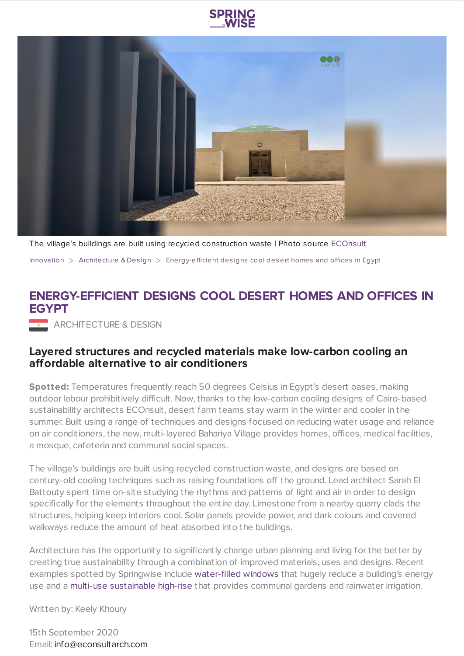



The village's buildings are built using recycled construction waste | Photo source [ECOnsult](http://www.econsultarch.com/)

[Innovation](https://www.springwise.com/search?type=innovation)  $>$  [Architecture](https://www.springwise.com/search?type=innovation§or=architecture-design) & Design  $>$  Energy-efficient designs cool desert homes and offices in Egypt

## **ENERGY-EFFICIENT DESIGNS COOL DESERT HOMES AND OFFICES IN EGYPT**

ARCHITECTURE & DESIGN

## **Layered structures and recycled materials make low-carbon cooling an affordable alternative to air conditioners**

**Spotted:** Temperatures frequently reach 50 degrees Celsius in Egypt's desert oases, making outdoor labour prohibitively difficult. Now, thanks to the low-carbon cooling designs of Cairo-based sustainability architects ECOnsult, desert farm teams stay warm in the winter and cooler in the summer. Built using a range of techniques and designs focused on reducing water usage and reliance on air conditioners, the new, multi-layered Bahariya Village provides homes, offices, medical facilities, a mosque, cafeteria and communal social spaces.

The village's buildings are built using recycled construction waste, and designs are based on century-old cooling techniques such as raising foundations off the ground. Lead architect Sarah El Battouty spent time on-site studying the rhythms and patterns of light and air in order to design specifically for the elements throughout the entire day. Limestone from a nearby quarry clads the structures, helping keep interiors cool. Solar panels provide power, and dark colours and covered walkways reduce the amount of heat absorbed into the buildings.

Architecture has the opportunity to significantly change urban planning and living for the better by creating true sustainability through a combination of improved materials, uses and designs. Recent examples spotted by Springwise include [water-filled](https://www.springwise.com/sustainability-innovation/property-construction/water-filled-windows-energy) windows that hugely reduce a building's energy use and a multi-use [sustainable](https://www.springwise.com/sustainability-innovation/architecture-design/mecanoo-vertical-neighbourhood-amsterdam) high-rise that provides communal gardens and rainwater irrigation.

Written by: Keely Khoury

15th September 2020 Email: [info@econsultarch.com](mailto:info@econsultarch.com)